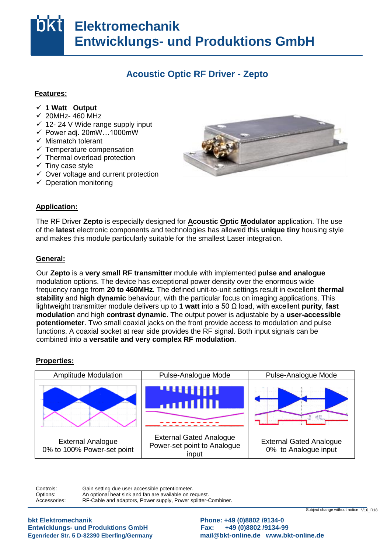# **Elektromechanik Entwicklungs- und Produktions GmbH**

### **Acoustic Optic RF Driver - Zepto**

#### **Features:**

- **√ 1 Watt Output**
- $\times$  20MHz- 460 MHz
- $\times$  12- 24 V Wide range supply input
- $\checkmark$  Power adj. 20mW...1000mW
- $\checkmark$  Mismatch tolerant
- v mismatch tolerant<br>
v Temperature compensation
- Thermal overload protection
- $\checkmark$  Tiny case style
- $\checkmark$  Over voltage and current protection
- $\checkmark$  Operation monitoring



## Application:

The RF Driver Zepto is especially designed for **Acoustic Optic Modulator** application. The use of the latest electronic components and technologies has allowed this unique tiny housing style and makes this module particularly suitable for the smallest Laser integration.

#### **General:** das

Our Zepto is a very small RF transmitter module with implemented pulse and analogue modulation options. The device has exceptional power density over the enormous wide **requency range from 20 to 460MHz.** The defined unit-to-unit settings result in excellent therm<br>**stability** and **high dynamic** behaviour, with the particular focus on imaging applications. This Stelle lightweight transmitter module delivers up to **1 watt** into a 50 Ω load, with excellent **purity**, **fast**  im **modulatio**n and high **contrast dynamic**. The output power is adjustable by a **user-accessible potentiometer**. Two small coaxial jacks on the front provide access to modulation and pulse iuric<br>com position in the second second second second second second second second second second second second second second second second second second second second second second second second second second second second second sec frequency range from **20 to 460MHz**. The defined unit-to-unit settings result in excellent **thermal**  functions. A coaxial socket at rear side provides the RF signal. Both input signals can be combined into a **versatile and very complex RF modulation**.

## **Properties:**



Controls: Ontions: Accessories' Gain setting due user accessible potentiometer. An optional heat sink and fan are available on request. RF-Cable and adaptors, Power supply, Power splitter-Combiner.

**Entwicklungs- und Produktions GmbH Fax: +49 (0)8802 /9134-99** ändern bkt Elektromechanik

**bkt Elektromechanik Phone: +49 (0)8802 /9134-0**  Egenrieder Str. 5 D-82390 Eberfing/Germany **and [mail@bkt-online.de](mailto:mail@bkt-online.de)** www.bkt-online.de

Subject change without notice V10\_R18